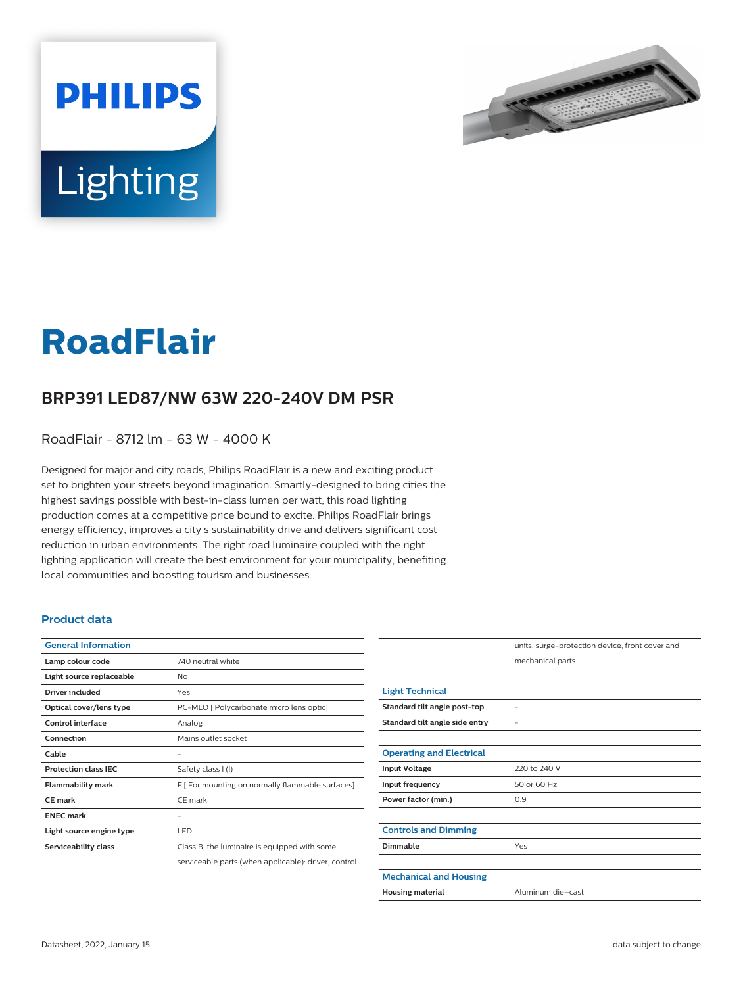



# **RoadFlair**

## **BRP391 LED87/NW 63W 220-240V DM PSR**

RoadFlair - 8712 lm - 63 W - 4000 K

Designed for major and city roads, Philips RoadFlair is a new and exciting product set to brighten your streets beyond imagination. Smartly-designed to bring cities the highest savings possible with best-in-class lumen per watt, this road lighting production comes at a competitive price bound to excite. Philips RoadFlair brings energy efficiency, improves a city's sustainability drive and delivers significant cost reduction in urban environments. The right road luminaire coupled with the right lighting application will create the best environment for your municipality, benefiting local communities and boosting tourism and businesses.

#### **Product data**

| <b>General Information</b>  |                                                      |
|-----------------------------|------------------------------------------------------|
| Lamp colour code            | 740 neutral white                                    |
| Light source replaceable    | No                                                   |
| Driver included             | Yes                                                  |
| Optical cover/lens type     | PC-MLO [ Polycarbonate micro lens optic]             |
| Control interface           | Analog                                               |
| Connection                  | Mains outlet socket                                  |
| Cable                       |                                                      |
| <b>Protection class IEC</b> | Safety class I (I)                                   |
| <b>Flammability mark</b>    | F [ For mounting on normally flammable surfaces]     |
| <b>CE</b> mark              | CE mark                                              |
| <b>ENEC mark</b>            |                                                      |
| Light source engine type    | LED                                                  |
| Serviceability class        | Class B, the luminaire is equipped with some         |
|                             | serviceable parts (when applicable): driver, control |

|                                 | units, surge-protection device, front cover and |
|---------------------------------|-------------------------------------------------|
|                                 | mechanical parts                                |
|                                 |                                                 |
| <b>Light Technical</b>          |                                                 |
| Standard tilt angle post-top    |                                                 |
| Standard tilt angle side entry  |                                                 |
|                                 |                                                 |
| <b>Operating and Electrical</b> |                                                 |
| <b>Input Voltage</b>            | 220 to 240 V                                    |
| Input frequency                 | 50 or 60 Hz                                     |
| Power factor (min.)             | 0.9                                             |
|                                 |                                                 |
| <b>Controls and Dimming</b>     |                                                 |
| Dimmable                        | Yes                                             |
|                                 |                                                 |
| <b>Mechanical and Housing</b>   |                                                 |
| <b>Housing material</b>         | Aluminum die-cast                               |
|                                 |                                                 |